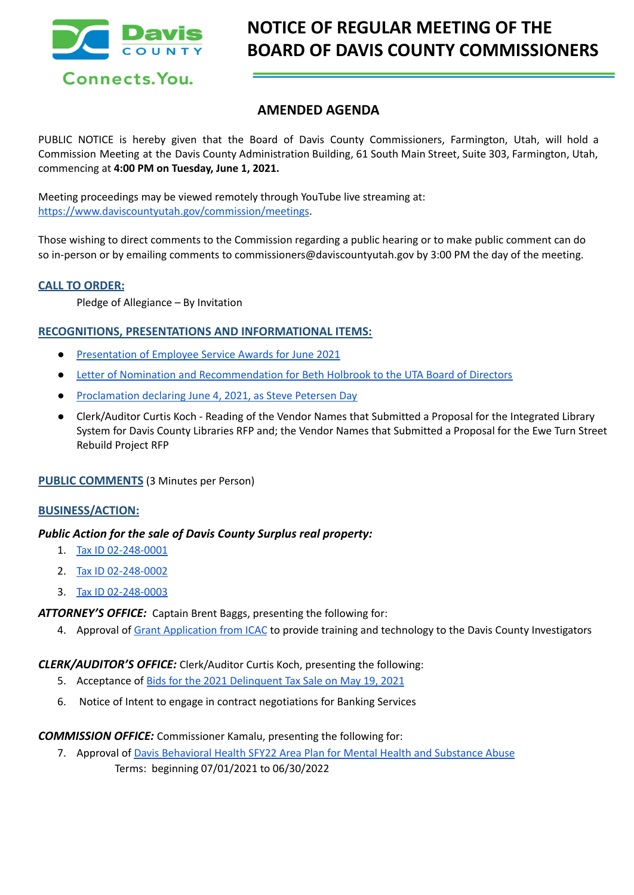

# **AMENDED AGENDA**

PUBLIC NOTICE is hereby given that the Board of Davis County Commissioners, Farmington, Utah, will hold a Commission Meeting at the Davis County Administration Building, 61 South Main Street, Suite 303, Farmington, Utah, commencing at **4:00 PM on Tuesday, June 1, 2021.**

Meeting proceedings may be viewed remotely through YouTube live streaming at: [https://www.daviscountyutah.gov/commission/meetings.](https://www.daviscountyutah.gov/commission/meetings)

Those wishing to direct comments to the Commission regarding a public hearing or to make public comment can do so in-person or by emailing comments to commissioners@daviscountyutah.gov by 3:00 PM the day of the meeting.

## **CALL TO ORDER:**

Pledge of Allegiance – By Invitation

## **RECOGNITIONS, PRESENTATIONS AND INFORMATIONAL ITEMS:**

- [Presentation](https://drive.google.com/file/d/1p6qbtX3QPYSHkU8qK_27CBcRwJzv0avM/view?usp=drivesdk) of Employee Service Awards for June 2021
- Letter of Nomination and [Recommendation](https://drive.google.com/file/d/1QkEBlHR8T-5Q2_lZPc29Dx4egSOecimK/view?usp=drivesdk) for Beth Holbrook to the UTA Board of Directors
- [Proclamation](https://drive.google.com/file/d/17I1PyRnDcHPAj4RCS6aFMe7fT84yVi8C/view?usp=drivesdk) declaring June 4, 2021, as Steve Petersen Day
- Clerk/Auditor Curtis Koch Reading of the Vendor Names that Submitted a Proposal for the Integrated Library System for Davis County Libraries RFP and; the Vendor Names that Submitted a Proposal for the Ewe Turn Street Rebuild Project RFP

## **PUBLIC COMMENTS** (3 Minutes per Person)

### **BUSINESS/ACTION:**

## *Public Action for the sale of Davis County Surplus real property:*

- 1. Tax ID [02-248-0001](https://drive.google.com/file/d/15IZj7oYCiUIAyucd94H0OQ2uc5pLP-xl/view?usp=drivesdk)
- 2. Tax ID [02-248-0002](https://drive.google.com/file/d/1W6lDoVE7GM3zk5VM9V-sKKMFQpZSGiH9/view?usp=drivesdk)
- 3. Tax ID [02-248-0003](https://drive.google.com/file/d/1pz8LN69NaYw_7ios4VDK76aD8rSS24iI/view?usp=drivesdk)

*ATTORNEY'S OFFICE:* Captain Brent Baggs, presenting the following for:

4. Approval of Grant [Application](https://drive.google.com/file/d/1fAJLE7neZyFWnz4pXT94pHo9XSDtLTA1/view?usp=drivesdk) from ICAC to provide training and technology to the Davis County Investigators

## *CLERK/AUDITOR'S OFFICE:* Clerk/Auditor Curtis Koch, presenting the following:

- 5. Acceptance of Bids for the 2021 [Delinquent](https://drive.google.com/file/d/11dOAvhGrdMVJlxf38G013R39Tj7tPEGP/view?usp=drivesdk) Tax Sale on May 19, 2021
- 6. Notice of Intent to engage in contract negotiations for Banking Services

#### *COMMISSION OFFICE:* Commissioner Kamalu, presenting the following for:

7. Approval of Davis [Behavioral](https://drive.google.com/file/d/12paSIVWOc3N-94nCUDUUHg5W_pH0K47x/view?usp=drivesdk) Health SFY22 Area Plan for Mental Health and Substance Abuse Terms: beginning 07/01/2021 to 06/30/2022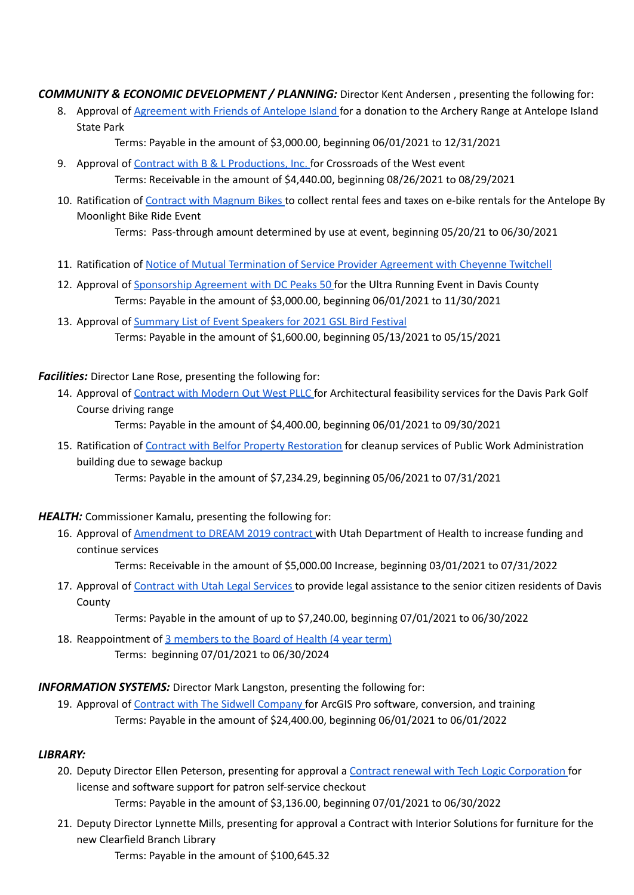*COMMUNITY & ECONOMIC DEVELOPMENT / PLANNING:* Director Kent Andersen , presenting the following for:

8. Approval of [Agreement](https://drive.google.com/file/d/13SRvYGPYmtRlZMDg4VG1utf6v1KkflzD/view?usp=drivesdk) with Friends of Antelope Island for a donation to the Archery Range at Antelope Island State Park

Terms: Payable in the amount of \$3,000.00, beginning 06/01/2021 to 12/31/2021

- 9. Approval of Contract with B & L [Productions,](https://drive.google.com/file/d/1fwVe68nLtfSvqOiEqj3Cw2rVh6U3XQte/view?usp=drivesdk) Inc. for Crossroads of the West event Terms: Receivable in the amount of \$4,440.00, beginning 08/26/2021 to 08/29/2021
- 10. Ratification of Contract with [Magnum](https://drive.google.com/file/d/1-xQtPHre85X4dLCmj37zW9PpaO6o4wLo/view?usp=drivesdk) Bikes to collect rental fees and taxes on e-bike rentals for the Antelope By Moonlight Bike Ride Event

Terms: Pass-through amount determined by use at event, beginning 05/20/21 to 06/30/2021

- 11. Ratification of Notice of Mutual [Termination](https://drive.google.com/file/d/1AL-ZsKfL6ldeZ8fDLuY8mi7tEY44n8rw/view?usp=drivesdk) of Service Provider Agreement with Cheyenne Twitchell
- 12. Approval of [Sponsorship](https://drive.google.com/file/d/1Mez4g5X46I-EsU8e4VSivanAiBYciN--/view?usp=drivesdk) Agreement with DC Peaks 50 for the Ultra Running Event in Davis County Terms: Payable in the amount of \$3,000.00, beginning 06/01/2021 to 11/30/2021
- 13. Approval of [Summary](https://drive.google.com/file/d/1uHD9NIiFK3yiCO3GU0A4pzYacwpf8tlv/view?usp=drivesdk) List of Event Speakers for 2021 GSL Bird Festival Terms: Payable in the amount of \$1,600.00, beginning 05/13/2021 to 05/15/2021

*Facilities:* Director Lane Rose, presenting the following for:

14. Approval of [Contract](https://drive.google.com/file/d/1in9l74g1yWvq3vHCitxfHaHvvuPJ-rCq/view?usp=drivesdk) with Modern Out West PLLC for Architectural feasibility services for the Davis Park Golf Course driving range

Terms: Payable in the amount of \$4,400.00, beginning 06/01/2021 to 09/30/2021

15. Ratification of Contract with Belfor Property [Restoration](https://drive.google.com/file/d/1vxExM07AjzbOwORn3GrKr4bVx31apy_l/view?usp=drivesdk) for cleanup services of Public Work Administration building due to sewage backup

Terms: Payable in the amount of \$7,234.29, beginning 05/06/2021 to 07/31/2021

*HEALTH:* Commissioner Kamalu, presenting the following for:

16. Approval of [Amendment](https://drive.google.com/file/d/1cxTUXW9RVWn03mzAEk8DkeivXVkLhM6J/view?usp=drivesdk) to DREAM 2019 contract with Utah Department of Health to increase funding and continue services

Terms: Receivable in the amount of \$5,000.00 Increase, beginning 03/01/2021 to 07/31/2022

17. Approval of [Contract](https://drive.google.com/file/d/1czY6cGLJuDTudGKkqBHWA6Q2-wtTPyOl/view?usp=drivesdk) with Utah Legal Services to provide legal assistance to the senior citizen residents of Davis **County** 

Terms: Payable in the amount of up to \$7,240.00, beginning 07/01/2021 to 06/30/2022

18. Reappointment of 3 [members](https://drive.google.com/file/d/1ShaORH7rMvHb2wBm8K9Xyw1JGtJJVYTM/view?usp=drivesdk) to the Board of Health (4 year term) Terms: beginning 07/01/2021 to 06/30/2024

*INFORMATION SYSTEMS:* Director Mark Langston, presenting the following for:

19. Approval of Contract with The Sidwell [Company](https://drive.google.com/file/d/1wyq3AoRPjgBSz9eC4txfhZDwDT9X0cYK/view?usp=drivesdk) for ArcGIS Pro software, conversion, and training Terms: Payable in the amount of \$24,400.00, beginning 06/01/2021 to 06/01/2022

## *LIBRARY:*

20. Deputy Director Ellen Peterson, presenting for approval a Contract renewal with Tech Logic [Corporation](https://drive.google.com/file/d/18GlgddypOtNbl7SrqnZdmmzrfzLxjQrm/view?usp=drivesdk) for license and software support for patron self-service checkout

Terms: Payable in the amount of \$3,136.00, beginning 07/01/2021 to 06/30/2022

21. Deputy Director Lynnette Mills, presenting for approval a Contract with Interior Solutions for furniture for the new Clearfield Branch Library

Terms: Payable in the amount of \$100,645.32